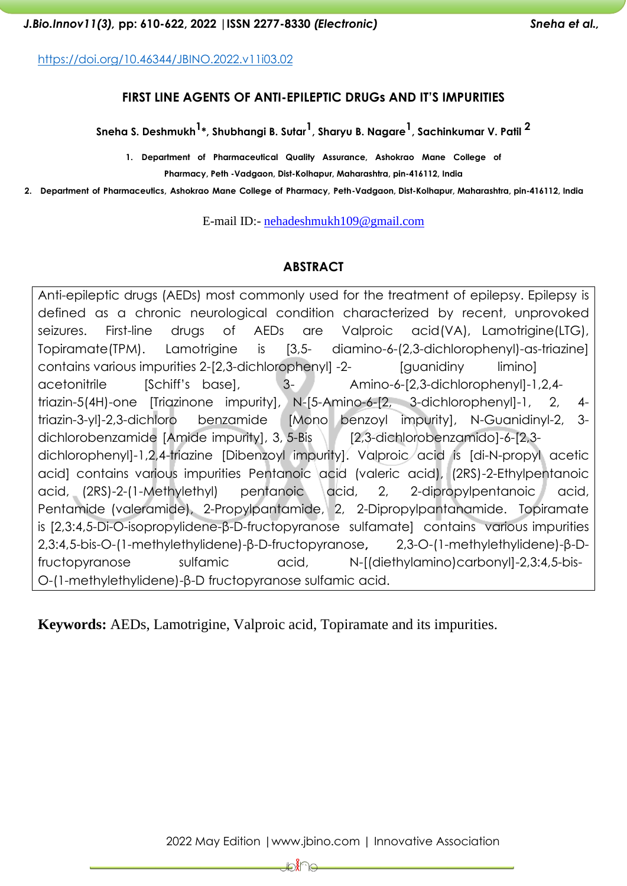<https://doi.org/10.46344/JBINO.2022.v11i03.02>

#### **FIRST LINE AGENTS OF ANTI-EPILEPTIC DRUGs AND IT'S IMPURITIES**

**Sneha S. Deshmukh1 \*, Shubhangi B. Sutar 1 , Sharyu B. Nagare1 , Sachinkumar V. Patil <sup>2</sup>**

**1. Department of Pharmaceutical Quality Assurance, Ashokrao Mane College of Pharmacy, Peth -Vadgaon, Dist-Kolhapur, Maharashtra, pin-416112, India**

**2. Department of Pharmaceutics, Ashokrao Mane College of Pharmacy, Peth-Vadgaon, Dist-Kolhapur, Maharashtra, pin-416112, India**

E-mail ID:- [nehadeshmukh109@gmail.com](mailto:nehadeshmukh109@gmail.com)

#### **ABSTRACT**

Anti-epileptic drugs (AEDs) most commonly used for the treatment of epilepsy. Epilepsy is defined as a chronic neurological condition characterized by recent, unprovoked seizures. First-line drugs of AEDs are Valproic acid(VA), Lamotrigine(LTG), Topiramate(TPM). Lamotrigine is [3,5- diamino-6-(2,3-dichlorophenyl)-as-triazine] contains various impurities 2-[2,3-dichlorophenyl] -2- [guanidiny limino] acetonitrile [Schiff's base], 3- Amino-6-[2,3-dichlorophenyl]-1,2,4triazin-5(4H)-one [Triazinone impurity], N-[5-Amino-6-[2, 3-dichlorophenyl]-1, 2, 4 triazin-3-yl]-2,3-dichloro benzamide [Mono benzoyl impurity], N-Guanidinyl-2, 3 dichlorobenzamide [Amide impurity], 3, 5-Bis [2,3-dichlorobenzamido]-6-[2,3dichlorophenyl]-1,2,4-triazine [Dibenzoyl impurity]. Valproic acid is [di-N-propyl acetic acid] contains various impurities Pentanoic acid (valeric acid), (2RS)-2-Ethylpentanoic acid, (2RS)-2-(1-Methylethyl) pentanoic acid, 2, 2-dipropylpentanoic acid, Pentamide (valeramide), 2-Propylpantamide, 2, 2-Dipropylpantanamide. Topiramate is [2,3:4,5-Di-O-isopropylidene-β-D-fructopyranose sulfamate] contains various impurities 2,3:4,5-bis-O-(1-methylethylidene)-β-D-fructopyranose**,** 2,3-O-(1-methylethylidene)-β-Dfructopyranose sulfamic acid, N-[(diethylamino)carbonyl]-2,3:4,5-bis-O-(1-methylethylidene)-β-D fructopyranose sulfamic acid.

**Keywords:** AEDs, Lamotrigine, Valproic acid, Topiramate and its impurities.

<del>⊯</del>ି∦ିା⊖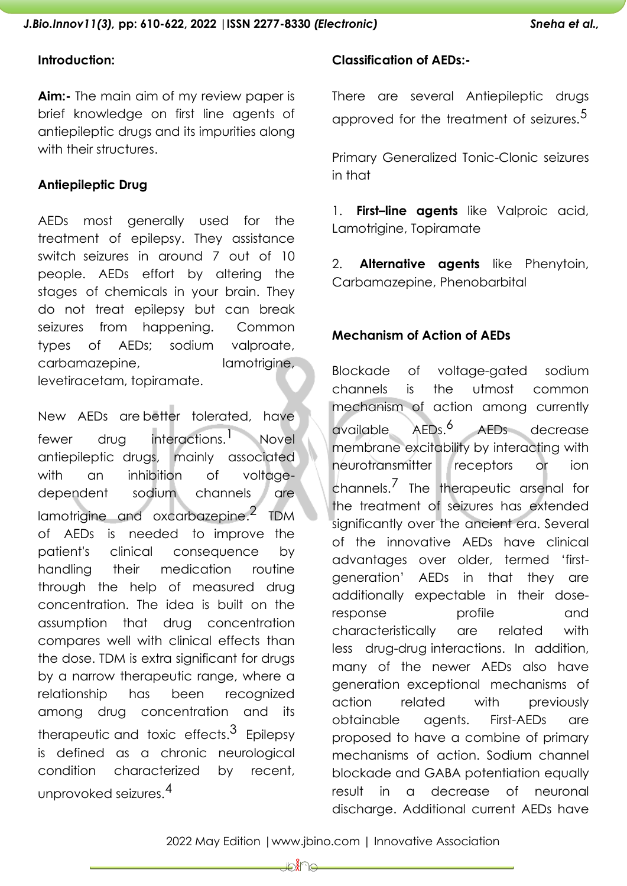#### **Introduction:**

**Aim:-** The main aim of my review paper is brief knowledge on first line agents of antiepileptic drugs and its impurities along with their structures.

#### **Antiepileptic Drug**

AEDs most generally used for the treatment of epilepsy. They assistance switch seizures in around 7 out of 10 people. AEDs effort by altering the stages of chemicals in your brain. They do not treat epilepsy but can break seizures from happening. Common types of AEDs; sodium valproate, carbamazepine, lamotrigine, levetiracetam, topiramate.

New AEDs are better tolerated, have fewer drug interactions.<sup>1</sup> 1 Novel antiepileptic drugs, mainly associated with an inhibition of voltagedependent sodium channels are lamotrigine and oxcarbazepine. $^2$  TDM of AEDs is needed to improve the patient's clinical consequence by handling their medication routine through the help of measured drug concentration. The idea is built on the assumption that drug concentration compares well with clinical effects than the dose. TDM is extra significant for drugs by a narrow therapeutic range, where a relationship has been recognized among drug concentration and its therapeutic and toxic effects. $^3$  Epilepsy is defined as a chronic neurological condition characterized by recent, unprovoked seizures. 4

### **Classification of AEDs:-**

There are several Antiepileptic drugs approved for the treatment of seizures.<sup>5</sup>

Primary Generalized Tonic-Clonic seizures in that

1. **First–line agents** like Valproic acid, Lamotrigine, Topiramate

2. **Alternative agents** like Phenytoin, Carbamazepine, Phenobarbital

### **Mechanism of Action of AEDs**

Blockade of voltage-gated sodium channels is the utmost common mechanism of action among currently available AEDs. AEDs decrease membrane excitability by interacting with neurotransmitter receptors or ion channels.<sup>7</sup> The therapeutic arsenal for the treatment of seizures has extended significantly over the ancient era. Several of the innovative AEDs have clinical advantages over older, termed 'firstgeneration' AEDs in that they are additionally expectable in their doseresponse profile and characteristically are related with less drug-drug interactions. In addition, many of the newer AEDs also have generation exceptional mechanisms of action related with previously obtainable agents. First-AEDs are proposed to have a combine of primary mechanisms of action. Sodium channel blockade and GABA potentiation equally result in a decrease of neuronal discharge. Additional current AEDs have

⊉∕∦ ি≏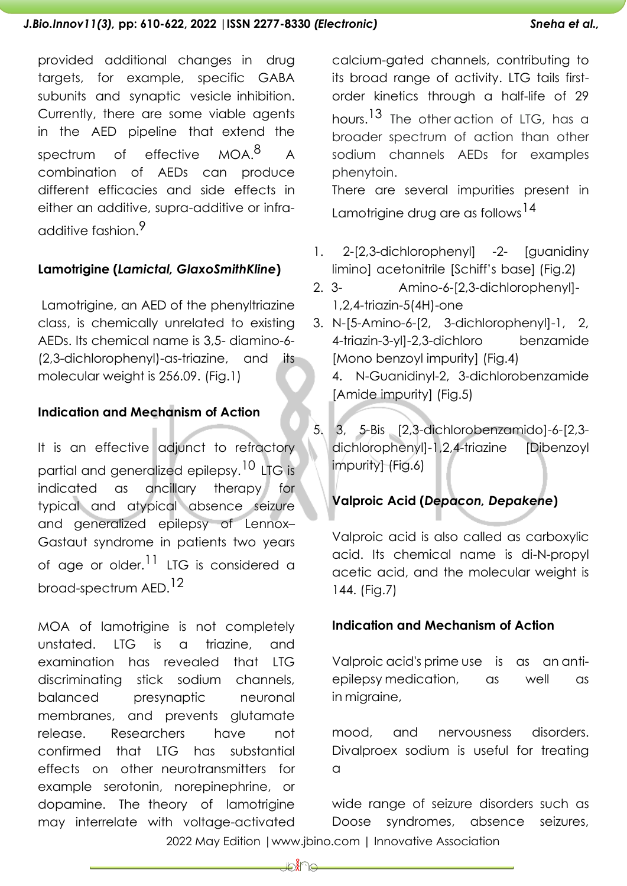provided additional changes in drug targets, for example, specific GABA subunits and synaptic vesicle inhibition. Currently, there are some viable agents in the AED pipeline that extend the spectrum of effective MOA.<sup>8</sup> A combination of AEDs can produce different efficacies and side effects in either an additive, supra-additive or infraadditive fashion.9

# **Lamotrigine (***Lamictal, GlaxoSmithKline***)**

Lamotrigine, an AED of the phenyltriazine class, is chemically unrelated to existing AEDs. Its chemical name is 3,5- diamino-6- (2,3-dichlorophenyl)-as-triazine, and its molecular weight is 256.09. (Fig.1)

### **Indication and Mechanism of Action**

It is an effective adjunct to refractory partial and generalized epilepsy. <sup>10</sup> LTG is indicated as ancillary therapy for typical and atypical absence seizure and generalized epilepsy of Lennox– Gastaut syndrome in patients two years of age or older.<sup>11</sup> LTG is considered a broad-spectrum AED. 12

MOA of lamotrigine is not completely unstated. LTG is a triazine, and examination has revealed that LTG discriminating stick sodium channels, balanced presynaptic neuronal membranes, and prevents glutamate release. Researchers have not confirmed that LTG has substantial effects on other neurotransmitters for example serotonin, norepinephrine, or dopamine. The theory of lamotrigine may interrelate with voltage-activated

calcium-gated channels, contributing to its broad range of activity. LTG tails firstorder kinetics through a half-life of 29 hours.<sup>13</sup> The otheraction of LTG, has a broader spectrum of action than other sodium channels AEDs for examples phenytoin. There are several impurities present in Lamotrigine drug are as follows <sup>14</sup>

- 1. 2-[2,3-dichlorophenyl] -2- [guanidiny limino] acetonitrile [Schiff's base] (Fig.2)
- 2. 3- Amino-6-[2,3-dichlorophenyl]-  $1,2,4$ -triazin-5(4H)-one

3. N-[5-Amino-6-[2, 3-dichlorophenyl]-1, 2, 4-triazin-3-yl]-2,3-dichloro benzamide [Mono benzoyl impurity] (Fig.4) 4. N-Guanidinyl-2, 3-dichlorobenzamide [Amide impurity] (Fig.5)

5. 3, 5-Bis [2,3-dichlorobenzamido]-6-[2,3 dichlorophenyl]-1,2,4-triazine [Dibenzoyl impurity] (Fig.6)

# **Valproic Acid (***Depacon, Depakene***)**

Valproic acid is also called as carboxylic acid. Its chemical name is di-N-propyl acetic acid, and the molecular weight is 144. (Fig.7)

## **Indication and Mechanism of Action**

Valproic acid's prime use is as an antiepilepsy medication, as well as in migraine,

mood, and nervousness disorders. Divalproex sodium is useful for treating  $\Omega$ 

wide range of seizure disorders such as Doose syndromes, absence seizures,

2022 May Edition |www.jbino.com | Innovative Association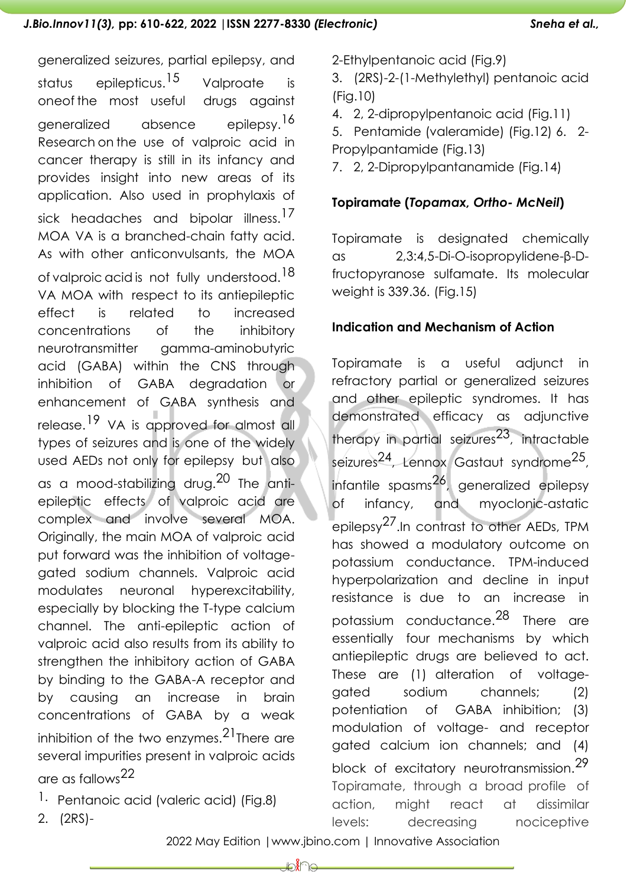generalized seizures, partial epilepsy, and status epilepticus.<sup>15</sup> Valproate is oneof the most useful drugs against generalized absence epilepsy.<sup>16</sup> Research on the use of valproic acid in cancer therapy is still in its infancy and provides insight into new areas of its application. Also used in prophylaxis of sick headaches and bipolar illness.<sup>17</sup> MOA VA is a branched-chain fatty acid. As with other anticonvulsants, the MOA of valproic acid is not fully understood. <sup>18</sup> VA MOA with respect to its antiepileptic effect is related to increased concentrations of the inhibitory neurotransmitter gamma-aminobutyric acid (GABA) within the CNS through inhibition of GABA degradation or enhancement of GABA synthesis and release.<sup>19</sup> VA is approved for almost all types of seizures and is one of the widely used AEDs not only for epilepsy but also as a mood-stabilizing drug.<sup>20</sup> The antiepileptic effects of valproic acid are complex and involve several MOA. Originally, the main MOA of valproic acid put forward was the inhibition of voltagegated sodium channels. Valproic acid modulates neuronal hyperexcitability, especially by blocking the T-type calcium channel. The anti-epileptic action of valproic acid also results from its ability to strengthen the inhibitory action of GABA by binding to the GABA-A receptor and by causing an increase in brain concentrations of GABA by a weak inhibition of the two enzymes. $^{21}$ There are several impurities present in valproic acids are as fallows 22

1. Pentanoic acid (valeric acid) (Fig.8)

2-Ethylpentanoic acid (Fig.9)

3. (2RS)-2-(1-Methylethyl) pentanoic acid (Fig.10)

4. 2, 2-dipropylpentanoic acid (Fig.11)

5. Pentamide (valeramide) (Fig.12) 6. 2- Propylpantamide (Fig.13)

7. 2, 2-Dipropylpantanamide (Fig.14)

## **Topiramate (***Topamax, Ortho- McNeil***)**

Topiramate is designated chemically as 2,3:4,5-Di-O-isopropylidene-β-Dfructopyranose sulfamate. Its molecular weight is 339.36. (Fig.15)

## **Indication and Mechanism of Action**

Topiramate is a useful adjunct in refractory partial or generalized seizures and other epileptic syndromes. It has demonstrated efficacy as adjunctive therapy in partial seizures<sup>23</sup>, intractable seizures<sup>24</sup>, Lennox Gastaut syndrome<sup>25</sup>, infantile spasms 26, generalized epilepsy of infancy, and myoclonic-astatic epilepsy<sup>27</sup>.In contrast to other AEDs, TPM has showed a modulatory outcome on potassium conductance. TPM-induced hyperpolarization and decline in input resistance is due to an increase in potassium conductance. 28 There are essentially four mechanisms by which antiepileptic drugs are believed to act. These are (1) alteration of voltagegated sodium channels; (2) potentiation of GABA inhibition; (3) modulation of voltage- and receptor gated calcium ion channels; and (4) block of excitatory neurotransmission.<sup>29</sup> Topiramate, through a broad profile of action, might react at dissimilar levels: decreasing nociceptive

2. (2RS)-

2022 May Edition |www.jbino.com | Innovative Association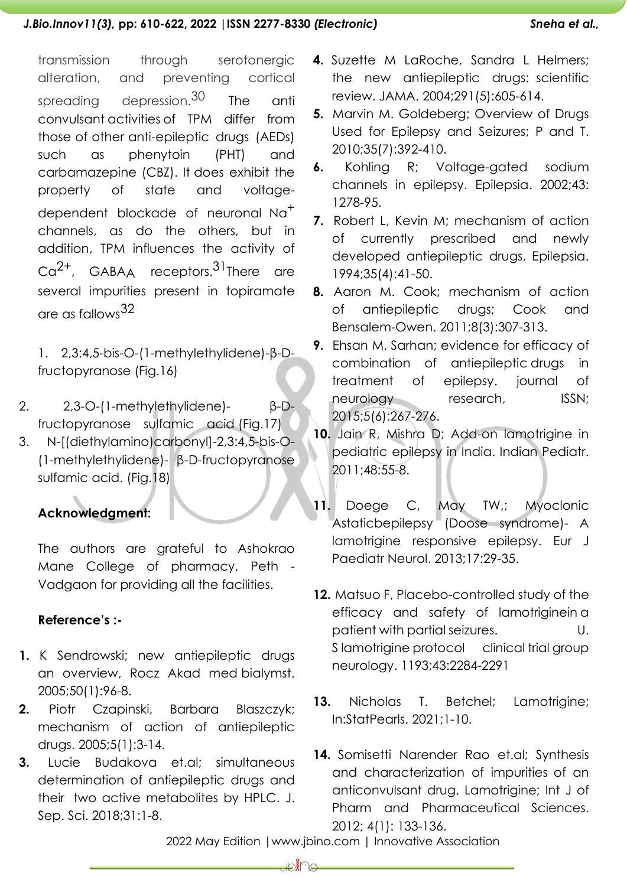transmission through serotonergic alteration, and preventing cortical spreading depression.<sup>30</sup> The anti convulsant activities of TPM differ from those of other anti-epileptic drugs (AEDs) such as phenytoin (PHT) and carbamazepine (CBZ). It does exhibit the property of state and voltagedependent blockade of neuronal Na<sup>+</sup> channels, as do the others, but in addition, TPM influences the activity of Ca<sup>2+</sup>, GABAA receptors.<sup>31</sup>There are several impurities present in topiramate are as fallows 32

1. 2,3:4,5-bis-O-(1-methylethylidene)-β-Dfructopyranose (Fig.16)

- 2. 2,3-O-(1-methylethylidene)- β-Dfructopyranose sulfamic acid (Fig.17)
- 3. N-[(diethylamino)carbonyl]-2,3:4,5-bis-O- (1-methylethylidene)- β-D-fructopyranose sulfamic acid. (Fig.18)

# **Acknowledgment:**

The authors are grateful to Ashokrao Mane College of pharmacy, Peth - Vadgaon for providing all the facilities.

# **Reference's :-**

- **1.** K Sendrowski; new antiepileptic drugs an overview, Rocz Akad med bialymst. 2005;50(1):96-8.
- **2.** Piotr Czapinski, Barbara Blaszczyk; mechanism of action of antiepileptic drugs. 2005;5(1):3-14.
- **3.** Lucie Budakova et.al; simultaneous determination of antiepileptic drugs and their two active metabolites by HPLC. J. Sep. Sci. 2018;31:1-8.
- **4.** Suzette M LaRoche, Sandra L Helmers; the new antiepileptic drugs: scientific review. JAMA. 2004;291(5):605-614.
- **5.** Marvin M. Goldeberg; Overview of Drugs Used for Epilepsy and Seizures; P and T. 2010;35(7):392-410.
- **6.** Kohling R; Voltage-gated sodium channels in epilepsy. Epilepsia. 2002;43: 1278-95.
- **7.** Robert L, Kevin M; mechanism of action of currently prescribed and newly developed antiepileptic drugs, Epilepsia. 1994;35(4):41-50.
- **8.** Aaron M. Cook; mechanism of action of antiepileptic drugs; Cook and Bensalem-Owen. 2011;8(3):307-313.
- **9.** Ehsan M. Sarhan; evidence for efficacy of combination of antiepileptic drugs in treatment of epilepsy. journal of neurology research, ISSN; 2015;5(6):267-276.
- **10.** Jain R, Mishra D; Add-on lamotrigine in pediatric epilepsy in India. Indian Pediatr. 2011;48:55-8.
- **11.** Doege C, May TW,; Myoclonic Astaticbepilepsy (Doose syndrome)- A lamotrigine responsive epilepsy. Eur J Paediatr Neurol. 2013;17:29-35.
- **12.** Matsuo F, Placebo-controlled study of the efficacy and safety of lamotriginein a patient with partial seizures. U. S lamotrigine protocol clinical trial group neurology. 1193;43:2284-2291
- **13.** Nicholas T. Betchel; Lamotrigine; In:StatPearls. 2021;1-10.
- **14.** Somisetti Narender Rao et.al; Synthesis and characterization of impurities of an anticonvulsant drug, Lamotrigine; Int J of Pharm and Pharmaceutical Sciences. 2012; 4(1): 133-136.

2022 May Edition |www.jbino.com | Innovative Association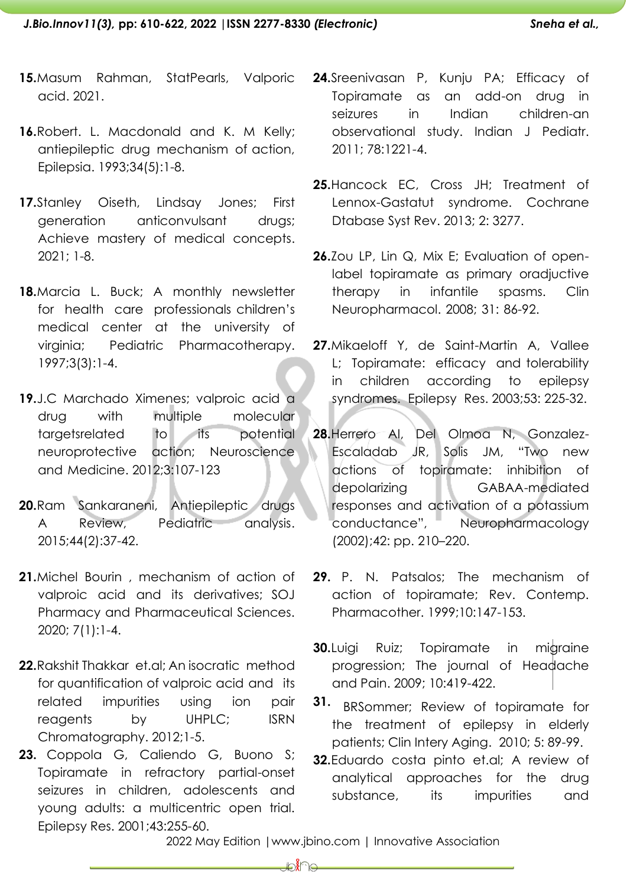- **15.**Masum Rahman, StatPearls, Valporic acid. 2021.
- **16.**Robert. L. Macdonald and K. M Kelly; antiepileptic drug mechanism of action, Epilepsia. 1993;34(5):1-8.
- **17.**Stanley Oiseth, Lindsay Jones; First generation anticonvulsant drugs; Achieve mastery of medical concepts. 2021; 1-8.
- 18. Marcia L. Buck; A monthly newsletter for health care professionals children's medical center at the university of virginia; Pediatric Pharmacotherapy. 1997;3(3):1-4.
- **19.**J.C Marchado Ximenes; valproic acid a drug with multiple molecular targetsrelated to its potential neuroprotective action; Neuroscience and Medicine. 2012;3:107-123
- **20.**Ram Sankaraneni, Antiepileptic drugs A Review, Pediatric analysis. 2015;44(2):37-42.
- **21.**Michel Bourin , mechanism of action of valproic acid and its derivatives; SOJ Pharmacy and Pharmaceutical Sciences. 2020; 7(1):1-4.
- **22.**Rakshit Thakkar et.al; An isocratic method for quantification of valproic acid and its related impurities using ion pair reagents by UHPLC; ISRN Chromatography. 2012;1-5.
- **23.** Coppola G, Caliendo G, Buono S; Topiramate in refractory partial-onset seizures in children, adolescents and young adults: a multicentric open trial. Epilepsy Res. 2001;43:255-60.
- **24.**Sreenivasan P, Kunju PA; Efficacy of Topiramate as an add-on drug in seizures in Indian children-an observational study. Indian J Pediatr. 2011; 78:1221-4.
- **25.**Hancock EC, Cross JH; Treatment of Lennox-Gastatut syndrome. Cochrane Dtabase Syst Rev. 2013; 2: 3277.
- **26.**Zou LP, Lin Q, Mix E; Evaluation of openlabel topiramate as primary oradjuctive therapy in infantile spasms. Clin Neuropharmacol. 2008; 31: 86-92.
- **27.**Mikaeloff Y, de Saint-Martin A, Vallee L; Topiramate: efficacy and tolerability in children according to epilepsy syndromes. Epilepsy Res. 2003;53: 225-32.
- **28.**Herrero AI, Del Olmoa N, Gonzalez-Escaladab JR, Solis JM, "Two new actions of topiramate: inhibition of depolarizing GABAA-mediated responses and activation of a potassium conductance", Neuropharmacology (2002);42: pp. 210–220.
- **29.** P. N. Patsalos; The mechanism of action of topiramate; Rev. Contemp. Pharmacother. 1999;10:147-153.
- **30.**Luigi Ruiz; Topiramate in migraine progression; The journal of Headache and Pain. 2009; 10:419-422.
- **31.** BRSommer; Review of topiramate for the treatment of epilepsy in elderly patients; Clin Intery Aging. 2010; 5: 89-99.
- **32.**Eduardo costa pinto et.al; A review of analytical approaches for the drug substance, its impurities and

2022 May Edition |www.jbino.com | Innovative Association

⊯‱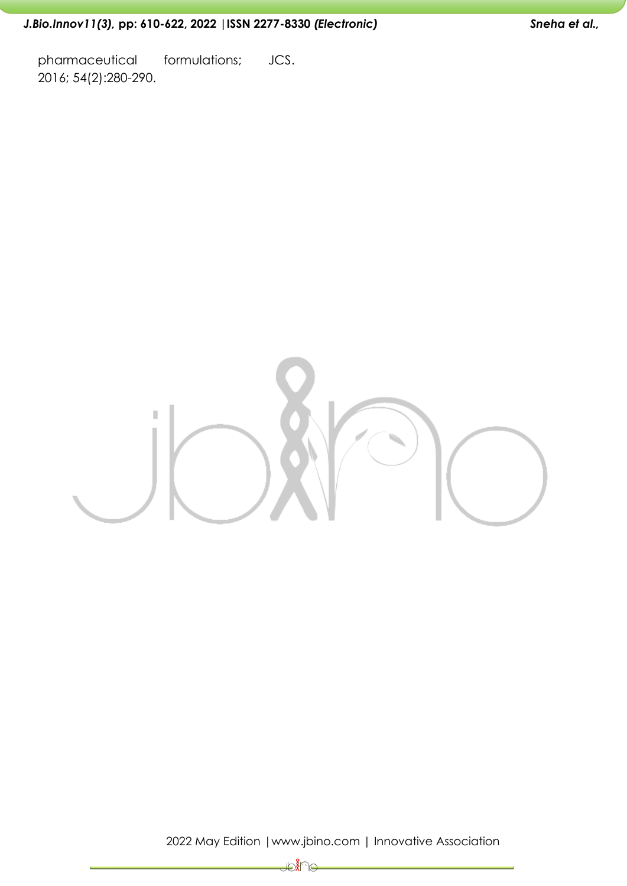# *J.Bio.Innov11(3),* **pp: 610-622, 2022 |ISSN 2277-8330** *(Electronic) Sneha et al.,*

pharmaceutical formulations; JCS. 2016; 54(2):280-290.



2022 May Edition |www.jbino.com | Innovative Association

चाैंदि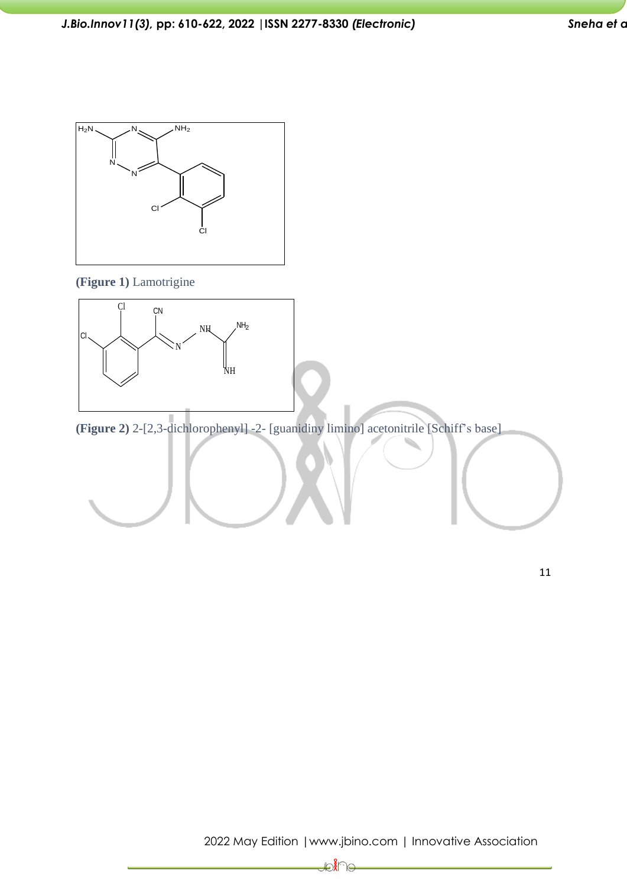

#### **(Figure 1)** Lamotrigine



**(Figure 2)** 2-[2,3-dichlorophenyl] -2- [guanidiny limino] acetonitrile [Schiff's base]

D.<br>D.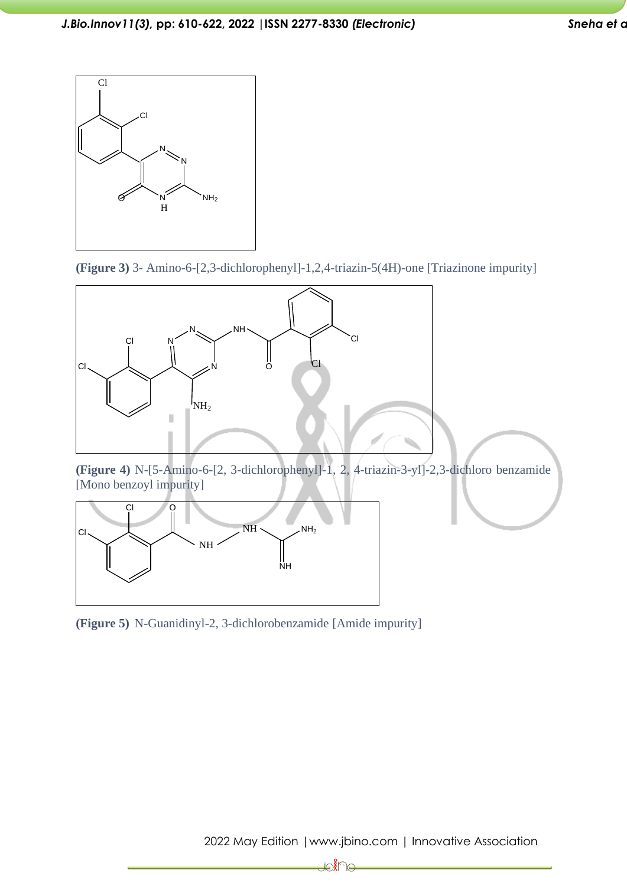

**(Figure 3)** 3- Amino-6-[2,3-dichlorophenyl]-1,2,4-triazin-5(4H)-one [Triazinone impurity]



**(Figure 4)** N-[5-Amino-6-[2, 3-dichlorophenyl]-1, 2, 4-triazin-3-yl]-2,3-dichloro benzamide [Mono benzoyl impurity]



**(Figure 5)** N-Guanidinyl-2, 3-dichlorobenzamide [Amide impurity]

∜€ ੇ⊝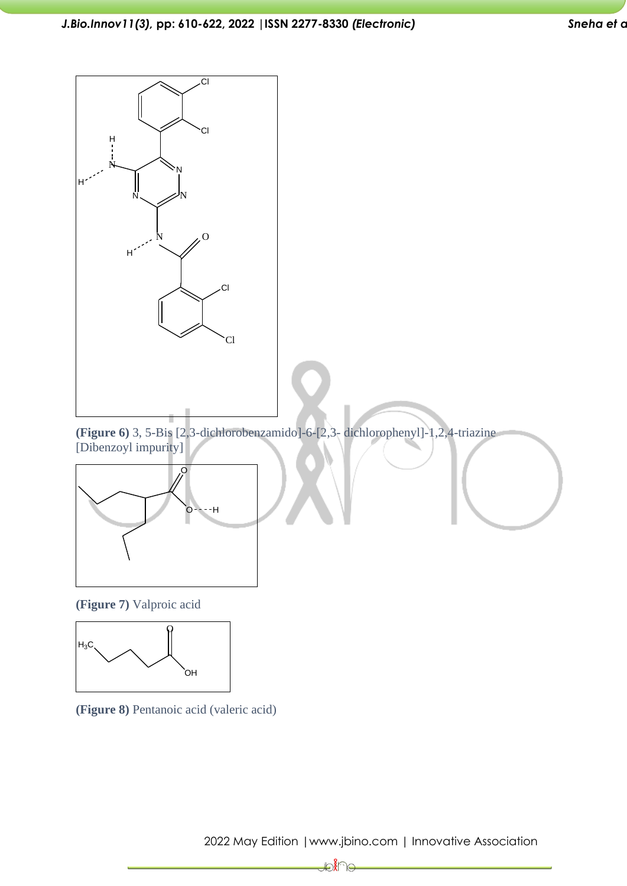





**(Figure 7)** Valproic acid



**(Figure 8)** Pentanoic acid (valeric acid)

2022 May Edition |www.jbino.com | Innovative Association

∦⊖∦ ે⊝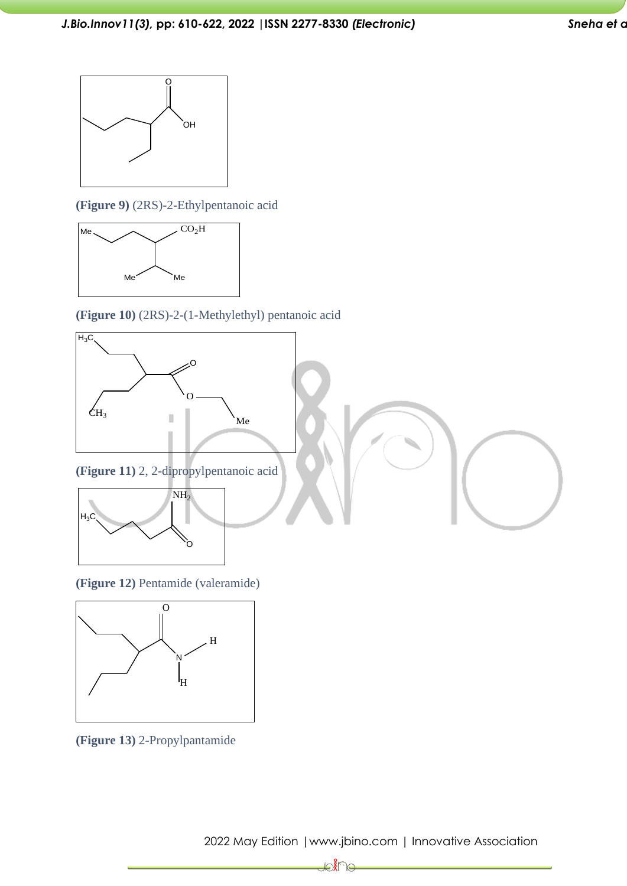

**(Figure 9)** (2RS)-2-Ethylpentanoic acid



**(Figure 10)** (2RS)-2-(1-Methylethyl) pentanoic acid



**(Figure 12)** Pentamide (valeramide)



**(Figure 13)** 2-Propylpantamide

2022 May Edition |www.jbino.com | Innovative Association

**Hole**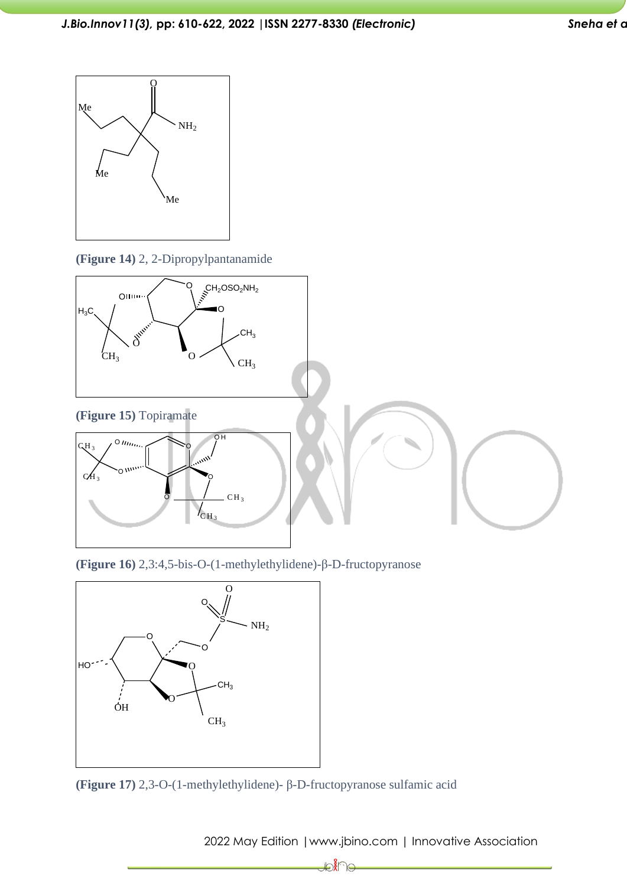

**(Figure 14)** 2, 2-Dipropylpantanamide



**(Figure 16)** 2,3:4,5-bis-O-(1-methylethylidene)-β-D-fructopyranose



**(Figure 17)** 2,3-O-(1-methylethylidene)- β-D-fructopyranose sulfamic acid

2022 May Edition |www.jbino.com | Innovative Association